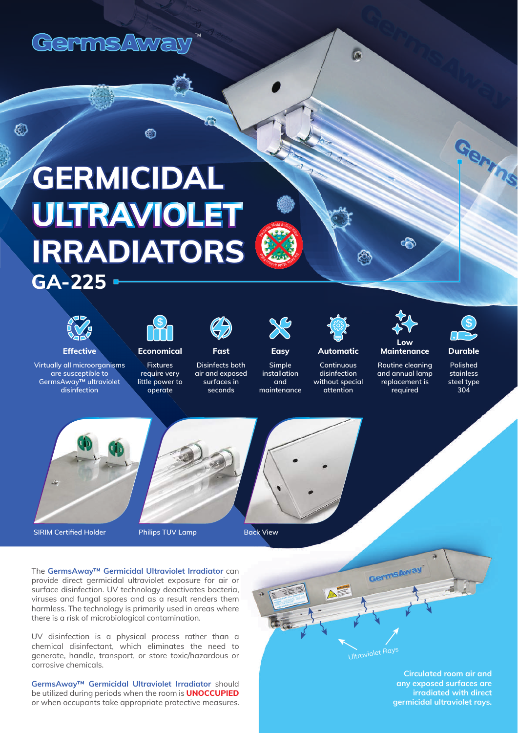

# **GERMICIDAL ULTRAVIOLET IRRADIATORS GA-225**

⋒



 $\circledS$ 

**Effective Economical Easy Automatic**

**Virtually all microorganisms are susceptible to GermsAway™ ultraviolet disinfection**



**Fixtures require very little power to operate**



**Fast**

**Disinfects both air and exposed surfaces in seconds**



**Bac** et al.

**BRA SPILIT B DIO** 

asteria, Mold & Virus Kile

**and** 

**Continuous disinfection without special attention Simple installation maintenance**

#### **Maintenance Routine cleaning and annual lamp replacement is required**

 $\sqrt{2}$ 

**Low**

ቈ



Germs

### **Durable**

**Polished stainless steel type 304**



**SIRIM Certified Holder Philips TUV Lamp Back View** 

The **GermsAway™ Germicidal Ultraviolet Irradiator** can provide direct germicidal ultraviolet exposure for air or surface disinfection. UV technology deactivates bacteria, viruses and fungal spores and as a result renders them harmless. The technology is primarily used in areas where there is a risk of microbiological contamination.

UV disinfection is a physical process rather than a chemical disinfectant, which eliminates the need to generate, handle, transport, or store toxic/hazardous or corrosive chemicals.

**GermsAway™ Germicidal Ultraviolet Irradiator** should be utilized during periods when the room is **UNOCCUPIED** or when occupants take appropriate protective measures.



**Circulated room air and any exposed surfaces are irradiated with direct germicidal ultraviolet rays.**